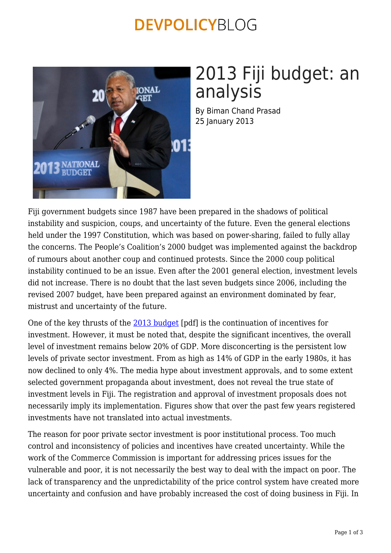### **DEVPOLICYBLOG**



# 2013 Fiji budget: an analysis

By Biman Chand Prasad 25 January 2013

Fiji government budgets since 1987 have been prepared in the shadows of political instability and suspicion, coups, and uncertainty of the future. Even the general elections held under the 1997 Constitution, which was based on power-sharing, failed to fully allay the concerns. The People's Coalition's 2000 budget was implemented against the backdrop of rumours about another coup and continued protests. Since the 2000 coup political instability continued to be an issue. Even after the 2001 general election, investment levels did not increase. There is no doubt that the last seven budgets since 2006, including the revised 2007 budget, have been prepared against an environment dominated by fear, mistrust and uncertainty of the future.

One of the key thrusts of the [2013 budget](http://www.fijitradela.com/pdf/2013_budget_supplement.pdf) [pdf] is the continuation of incentives for investment. However, it must be noted that, despite the significant incentives, the overall level of investment remains below 20% of GDP. More disconcerting is the persistent low levels of private sector investment. From as high as 14% of GDP in the early 1980s, it has now declined to only 4%. The media hype about investment approvals, and to some extent selected government propaganda about investment, does not reveal the true state of investment levels in Fiji. The registration and approval of investment proposals does not necessarily imply its implementation. Figures show that over the past few years registered investments have not translated into actual investments.

The reason for poor private sector investment is poor institutional process. Too much control and inconsistency of policies and incentives have created uncertainty. While the work of the Commerce Commission is important for addressing prices issues for the vulnerable and poor, it is not necessarily the best way to deal with the impact on poor. The lack of transparency and the unpredictability of the price control system have created more uncertainty and confusion and have probably increased the cost of doing business in Fiji. In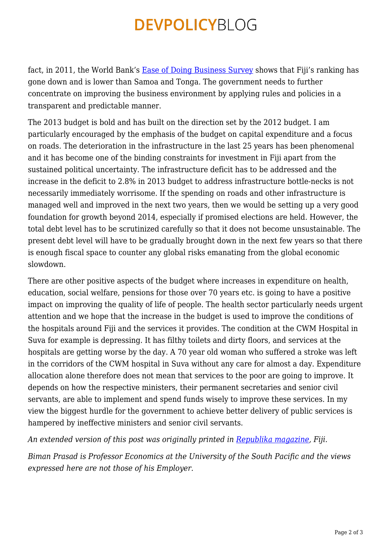## **DEVPOLICYBLOG**

fact, in 2011, the World Bank's [Ease of Doing Business Survey](http://www.doingbusiness.org/reports/global-reports/doing-business-2011/) shows that Fiji's ranking has gone down and is lower than Samoa and Tonga. The government needs to further concentrate on improving the business environment by applying rules and policies in a transparent and predictable manner.

The 2013 budget is bold and has built on the direction set by the 2012 budget. I am particularly encouraged by the emphasis of the budget on capital expenditure and a focus on roads. The deterioration in the infrastructure in the last 25 years has been phenomenal and it has become one of the binding constraints for investment in Fiji apart from the sustained political uncertainty. The infrastructure deficit has to be addressed and the increase in the deficit to 2.8% in 2013 budget to address infrastructure bottle-necks is not necessarily immediately worrisome. If the spending on roads and other infrastructure is managed well and improved in the next two years, then we would be setting up a very good foundation for growth beyond 2014, especially if promised elections are held. However, the total debt level has to be scrutinized carefully so that it does not become unsustainable. The present debt level will have to be gradually brought down in the next few years so that there is enough fiscal space to counter any global risks emanating from the global economic slowdown.

There are other positive aspects of the budget where increases in expenditure on health, education, social welfare, pensions for those over 70 years etc. is going to have a positive impact on improving the quality of life of people. The health sector particularly needs urgent attention and we hope that the increase in the budget is used to improve the conditions of the hospitals around Fiji and the services it provides. The condition at the CWM Hospital in Suva for example is depressing. It has filthy toilets and dirty floors, and services at the hospitals are getting worse by the day. A 70 year old woman who suffered a stroke was left in the corridors of the CWM hospital in Suva without any care for almost a day. Expenditure allocation alone therefore does not mean that services to the poor are going to improve. It depends on how the respective ministers, their permanent secretaries and senior civil servants, are able to implement and spend funds wisely to improve these services. In my view the biggest hurdle for the government to achieve better delivery of public services is hampered by ineffective ministers and senior civil servants.

*An extended version of this post was originally printed in [Republika magazine,](http://republikamagazine.com/) Fiji.*

*Biman Prasad is Professor Economics at the University of the South Pacific and the views expressed here are not those of his Employer.*